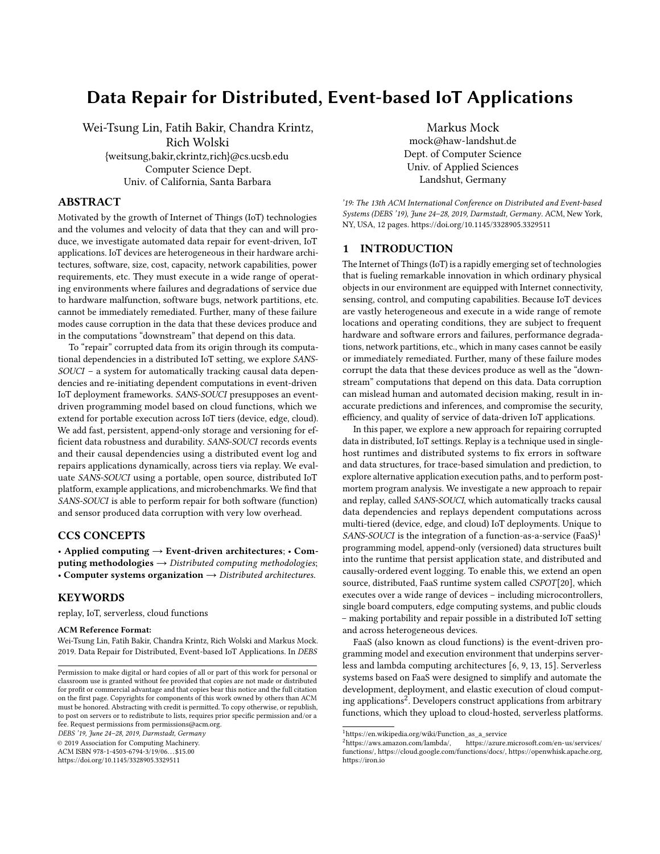# Data Repair for Distributed, Event-based IoT Applications

Wei-Tsung Lin, Fatih Bakir, Chandra Krintz, Rich Wolski {weitsung,bakir,ckrintz,rich}@cs.ucsb.edu Computer Science Dept. Univ. of California, Santa Barbara

# ABSTRACT

Motivated by the growth of Internet of Things (IoT) technologies and the volumes and velocity of data that they can and will produce, we investigate automated data repair for event-driven, IoT applications. IoT devices are heterogeneous in their hardware architectures, software, size, cost, capacity, network capabilities, power requirements, etc. They must execute in a wide range of operating environments where failures and degradations of service due to hardware malfunction, software bugs, network partitions, etc. cannot be immediately remediated. Further, many of these failure modes cause corruption in the data that these devices produce and in the computations "downstream" that depend on this data.

To "repair" corrupted data from its origin through its computational dependencies in a distributed IoT setting, we explore SANS-SOUCI – a system for automatically tracking causal data dependencies and re-initiating dependent computations in event-driven IoT deployment frameworks. SANS-SOUCI presupposes an eventdriven programming model based on cloud functions, which we extend for portable execution across IoT tiers (device, edge, cloud). We add fast, persistent, append-only storage and versioning for efficient data robustness and durability. SANS-SOUCI records events and their causal dependencies using a distributed event log and repairs applications dynamically, across tiers via replay. We evaluate SANS-SOUCI using a portable, open source, distributed IoT platform, example applications, and microbenchmarks. We find that SANS-SOUCI is able to perform repair for both software (function) and sensor produced data corruption with very low overhead.

# CCS CONCEPTS

• Applied computing → Event-driven architectures; • Computing methodologies  $\rightarrow$  Distributed computing methodologies; • Computer systems organization  $\rightarrow$  Distributed architectures.

### **KEYWORDS**

replay, IoT, serverless, cloud functions

#### ACM Reference Format:

Wei-Tsung Lin, Fatih Bakir, Chandra Krintz, Rich Wolski and Markus Mock. 2019. Data Repair for Distributed, Event-based IoT Applications. In DEBS

DEBS '19, June 24–28, 2019, Darmstadt, Germany

© 2019 Association for Computing Machinery.

ACM ISBN 978-1-4503-6794-3/19/06. . . \$15.00

<https://doi.org/10.1145/3328905.3329511>

Markus Mock mock@haw-landshut.de Dept. of Computer Science Univ. of Applied Sciences Landshut, Germany

'19: The 13th ACM International Conference on Distributed and Event-based Systems (DEBS '19), June 24–28, 2019, Darmstadt, Germany. ACM, New York, NY, USA, [12](#page-11-0) pages.<https://doi.org/10.1145/3328905.3329511>

# 1 INTRODUCTION

The Internet of Things (IoT) is a rapidly emerging set of technologies that is fueling remarkable innovation in which ordinary physical objects in our environment are equipped with Internet connectivity, sensing, control, and computing capabilities. Because IoT devices are vastly heterogeneous and execute in a wide range of remote locations and operating conditions, they are subject to frequent hardware and software errors and failures, performance degradations, network partitions, etc., which in many cases cannot be easily or immediately remediated. Further, many of these failure modes corrupt the data that these devices produce as well as the "downstream" computations that depend on this data. Data corruption can mislead human and automated decision making, result in inaccurate predictions and inferences, and compromise the security, efficiency, and quality of service of data-driven IoT applications.

In this paper, we explore a new approach for repairing corrupted data in distributed, IoT settings. Replay is a technique used in singlehost runtimes and distributed systems to fix errors in software and data structures, for trace-based simulation and prediction, to explore alternative application execution paths, and to perform postmortem program analysis. We investigate a new approach to repair and replay, called SANS-SOUCI, which automatically tracks causal data dependencies and replays dependent computations across multi-tiered (device, edge, and cloud) IoT deployments. Unique to SANS-SOUCI is the integration of a function-as-a-service  $(Faas)^1$  $(Faas)^1$ programming model, append-only (versioned) data structures built into the runtime that persist application state, and distributed and causally-ordered event logging. To enable this, we extend an open source, distributed, FaaS runtime system called CSPOT[\[20\]](#page-11-1), which executes over a wide range of devices – including microcontrollers, single board computers, edge computing systems, and public clouds – making portability and repair possible in a distributed IoT setting and across heterogeneous devices.

FaaS (also known as cloud functions) is the event-driven programming model and execution environment that underpins serverless and lambda computing architectures [\[6,](#page-11-2) [9,](#page-11-3) [13,](#page-11-4) [15\]](#page-11-5). Serverless systems based on FaaS were designed to simplify and automate the development, deployment, and elastic execution of cloud comput-ing applications<sup>[2](#page-0-1)</sup>. Developers construct applications from arbitrary functions, which they upload to cloud-hosted, serverless platforms.

Permission to make digital or hard copies of all or part of this work for personal or classroom use is granted without fee provided that copies are not made or distributed for profit or commercial advantage and that copies bear this notice and the full citation on the first page. Copyrights for components of this work owned by others than ACM must be honored. Abstracting with credit is permitted. To copy otherwise, or republish, to post on servers or to redistribute to lists, requires prior specific permission and/or a fee. Request permissions from permissions@acm.org.

<span id="page-0-0"></span> $^1$ [https://en.wikipedia.org/wiki/Function\\_as\\_a\\_service](https://en.wikipedia.org/wiki/Function_as_a_service)

<span id="page-0-1"></span><sup>2</sup>[https://aws.amazon.com/lambda/,](https://aws.amazon.com/lambda/) [https://azure.microsoft.com/en-us/services/](https://azure.microsoft.com/en-us/services/functions/) [functions/,](https://azure.microsoft.com/en-us/services/functions/) https://cloud.google.com/functions/docs/, [https://openwhisk.apache.org,](https://openwhisk.apache.org) <https://iron.io>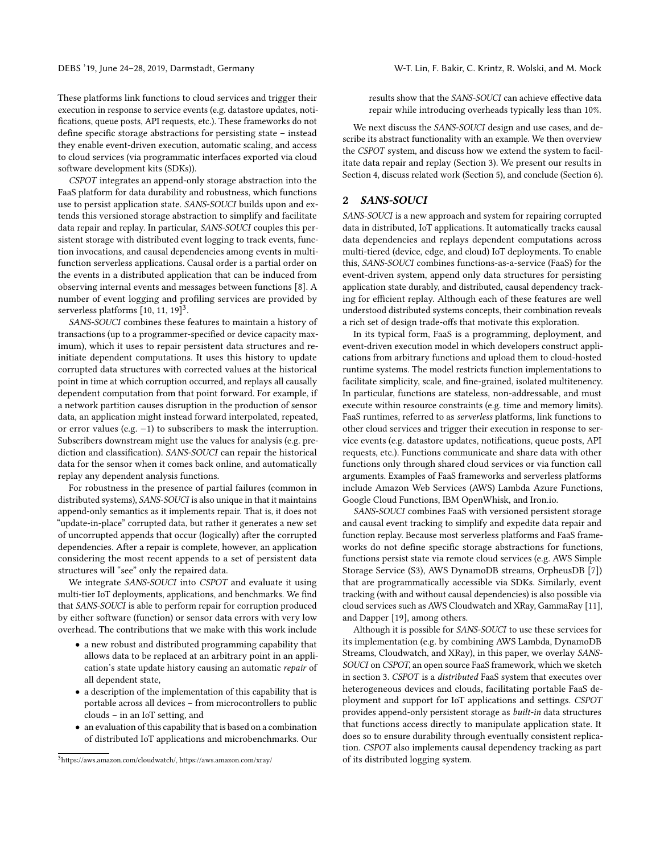These platforms link functions to cloud services and trigger their execution in response to service events (e.g. datastore updates, notifications, queue posts, API requests, etc.). These frameworks do not define specific storage abstractions for persisting state – instead they enable event-driven execution, automatic scaling, and access to cloud services (via programmatic interfaces exported via cloud software development kits (SDKs)).

CSPOT integrates an append-only storage abstraction into the FaaS platform for data durability and robustness, which functions use to persist application state. SANS-SOUCI builds upon and extends this versioned storage abstraction to simplify and facilitate data repair and replay. In particular, SANS-SOUCI couples this persistent storage with distributed event logging to track events, function invocations, and causal dependencies among events in multifunction serverless applications. Causal order is a partial order on the events in a distributed application that can be induced from observing internal events and messages between functions [\[8\]](#page-11-6). A number of event logging and profiling services are provided by serverless platforms  $[10, 11, 19]^3$  $[10, 11, 19]^3$  $[10, 11, 19]^3$  $[10, 11, 19]^3$  $[10, 11, 19]^3$ .

SANS-SOUCI combines these features to maintain a history of transactions (up to a programmer-specified or device capacity maximum), which it uses to repair persistent data structures and reinitiate dependent computations. It uses this history to update corrupted data structures with corrected values at the historical point in time at which corruption occurred, and replays all causally dependent computation from that point forward. For example, if a network partition causes disruption in the production of sensor data, an application might instead forward interpolated, repeated, or error values (e.g. −1) to subscribers to mask the interruption. Subscribers downstream might use the values for analysis (e.g. prediction and classification). SANS-SOUCI can repair the historical data for the sensor when it comes back online, and automatically replay any dependent analysis functions.

For robustness in the presence of partial failures (common in distributed systems), SANS-SOUCI is also unique in that it maintains append-only semantics as it implements repair. That is, it does not "update-in-place" corrupted data, but rather it generates a new set of uncorrupted appends that occur (logically) after the corrupted dependencies. After a repair is complete, however, an application considering the most recent appends to a set of persistent data structures will "see" only the repaired data.

We integrate SANS-SOUCI into CSPOT and evaluate it using multi-tier IoT deployments, applications, and benchmarks. We find that SANS-SOUCI is able to perform repair for corruption produced by either software (function) or sensor data errors with very low overhead. The contributions that we make with this work include

- a new robust and distributed programming capability that allows data to be replaced at an arbitrary point in an application's state update history causing an automatic repair of all dependent state,
- a description of the implementation of this capability that is portable across all devices – from microcontrollers to public clouds – in an IoT setting, and
- an evaluation of this capability that is based on a combination of distributed IoT applications and microbenchmarks. Our

results show that the SANS-SOUCI can achieve effective data repair while introducing overheads typically less than 10%.

We next discuss the SANS-SOUCI design and use cases, and describe its abstract functionality with an example. We then overview the CSPOT system, and discuss how we extend the system to facilitate data repair and replay (Section [3\)](#page-3-0). We present our results in Section [4,](#page-7-0) discuss related work (Section [5\)](#page-10-0), and conclude (Section [6\)](#page-11-10).

# 2 SANS-SOUCI

SANS-SOUCI is a new approach and system for repairing corrupted data in distributed, IoT applications. It automatically tracks causal data dependencies and replays dependent computations across multi-tiered (device, edge, and cloud) IoT deployments. To enable this, SANS-SOUCI combines functions-as-a-service (FaaS) for the event-driven system, append only data structures for persisting application state durably, and distributed, causal dependency tracking for efficient replay. Although each of these features are well understood distributed systems concepts, their combination reveals a rich set of design trade-offs that motivate this exploration.

In its typical form, FaaS is a programming, deployment, and event-driven execution model in which developers construct applications from arbitrary functions and upload them to cloud-hosted runtime systems. The model restricts function implementations to facilitate simplicity, scale, and fine-grained, isolated multitenency. In particular, functions are stateless, non-addressable, and must execute within resource constraints (e.g. time and memory limits). FaaS runtimes, referred to as serverless platforms, link functions to other cloud services and trigger their execution in response to service events (e.g. datastore updates, notifications, queue posts, API requests, etc.). Functions communicate and share data with other functions only through shared cloud services or via function call arguments. Examples of FaaS frameworks and serverless platforms include Amazon Web Services (AWS) Lambda Azure Functions, Google Cloud Functions, IBM OpenWhisk, and Iron.io.

SANS-SOUCI combines FaaS with versioned persistent storage and causal event tracking to simplify and expedite data repair and function replay. Because most serverless platforms and FaaS frameworks do not define specific storage abstractions for functions, functions persist state via remote cloud services (e.g. AWS Simple Storage Service (S3), AWS DynamoDB streams, OrpheusDB [\[7\]](#page-11-11)) that are programmatically accessible via SDKs. Similarly, event tracking (with and without causal dependencies) is also possible via cloud services such as AWS Cloudwatch and XRay, GammaRay [\[11\]](#page-11-8), and Dapper [\[19\]](#page-11-9), among others.

Although it is possible for SANS-SOUCI to use these services for its implementation (e.g. by combining AWS Lambda, DynamoDB Streams, Cloudwatch, and XRay), in this paper, we overlay SANS-SOUCI on CSPOT, an open source FaaS framework, which we sketch in section [3.](#page-3-0) CSPOT is a distributed FaaS system that executes over heterogeneous devices and clouds, facilitating portable FaaS deployment and support for IoT applications and settings. CSPOT provides append-only persistent storage as built-in data structures that functions access directly to manipulate application state. It does so to ensure durability through eventually consistent replication. CSPOT also implements causal dependency tracking as part of its distributed logging system.

<span id="page-1-0"></span><sup>3</sup>[https://aws.amazon.com/cloudwatch/,](https://aws.amazon.com/cloudwatch/)<https://aws.amazon.com/xray/>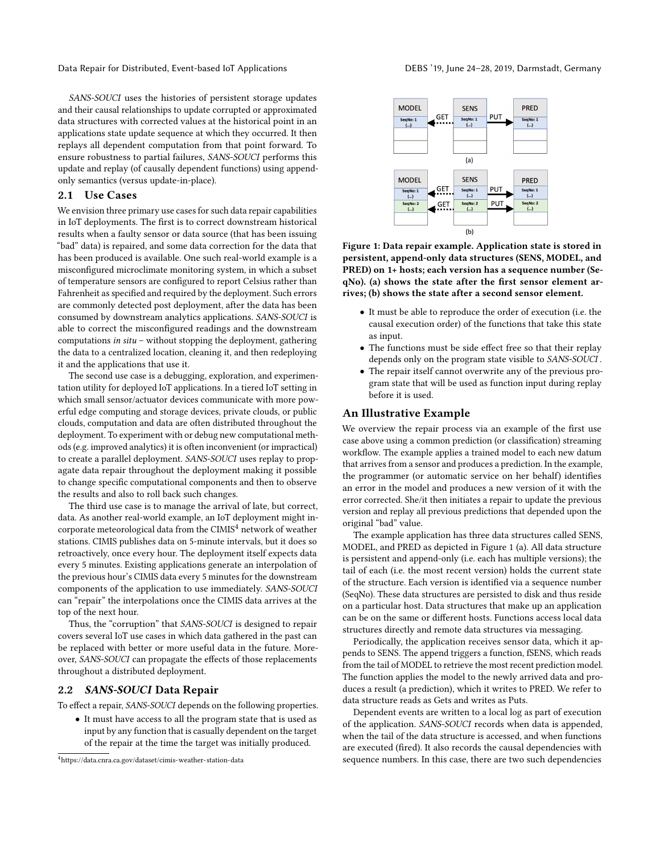SANS-SOUCI uses the histories of persistent storage updates and their causal relationships to update corrupted or approximated data structures with corrected values at the historical point in an applications state update sequence at which they occurred. It then replays all dependent computation from that point forward. To ensure robustness to partial failures, SANS-SOUCI performs this update and replay (of causally dependent functions) using appendonly semantics (versus update-in-place).

# 2.1 Use Cases

We envision three primary use cases for such data repair capabilities in IoT deployments. The first is to correct downstream historical results when a faulty sensor or data source (that has been issuing "bad" data) is repaired, and some data correction for the data that has been produced is available. One such real-world example is a misconfigured microclimate monitoring system, in which a subset of temperature sensors are configured to report Celsius rather than Fahrenheit as specified and required by the deployment. Such errors are commonly detected post deployment, after the data has been consumed by downstream analytics applications. SANS-SOUCI is able to correct the misconfigured readings and the downstream computations in situ – without stopping the deployment, gathering the data to a centralized location, cleaning it, and then redeploying it and the applications that use it.

The second use case is a debugging, exploration, and experimentation utility for deployed IoT applications. In a tiered IoT setting in which small sensor/actuator devices communicate with more powerful edge computing and storage devices, private clouds, or public clouds, computation and data are often distributed throughout the deployment. To experiment with or debug new computational methods (e.g. improved analytics) it is often inconvenient (or impractical) to create a parallel deployment. SANS-SOUCI uses replay to propagate data repair throughout the deployment making it possible to change specific computational components and then to observe the results and also to roll back such changes.

The third use case is to manage the arrival of late, but correct, data. As another real-world example, an IoT deployment might in-corporate meteorological data from the CIMIS<sup>[4](#page-2-0)</sup> network of weather stations. CIMIS publishes data on 5-minute intervals, but it does so retroactively, once every hour. The deployment itself expects data every 5 minutes. Existing applications generate an interpolation of the previous hour's CIMIS data every 5 minutes for the downstream components of the application to use immediately. SANS-SOUCI can "repair" the interpolations once the CIMIS data arrives at the top of the next hour.

Thus, the "corruption" that SANS-SOUCI is designed to repair covers several IoT use cases in which data gathered in the past can be replaced with better or more useful data in the future. Moreover, SANS-SOUCI can propagate the effects of those replacements throughout a distributed deployment.

# 2.2 SANS-SOUCI Data Repair

To effect a repair, SANS-SOUCI depends on the following properties.

• It must have access to all the program state that is used as input by any function that is casually dependent on the target of the repair at the time the target was initially produced.

<span id="page-2-1"></span>

Figure 1: Data repair example. Application state is stored in persistent, append-only data structures (SENS, MODEL, and PRED) on 1+ hosts; each version has a sequence number (SeqNo). (a) shows the state after the first sensor element arrives; (b) shows the state after a second sensor element.

- It must be able to reproduce the order of execution (i.e. the causal execution order) of the functions that take this state as input.
- The functions must be side effect free so that their replay depends only on the program state visible to SANS-SOUCI .
- The repair itself cannot overwrite any of the previous program state that will be used as function input during replay before it is used.

### An Illustrative Example

We overview the repair process via an example of the first use case above using a common prediction (or classification) streaming workflow. The example applies a trained model to each new datum that arrives from a sensor and produces a prediction. In the example, the programmer (or automatic service on her behalf) identifies an error in the model and produces a new version of it with the error corrected. She/it then initiates a repair to update the previous version and replay all previous predictions that depended upon the original "bad" value.

The example application has three data structures called SENS, MODEL, and PRED as depicted in Figure [1](#page-2-1) (a). All data structure is persistent and append-only (i.e. each has multiple versions); the tail of each (i.e. the most recent version) holds the current state of the structure. Each version is identified via a sequence number (SeqNo). These data structures are persisted to disk and thus reside on a particular host. Data structures that make up an application can be on the same or different hosts. Functions access local data structures directly and remote data structures via messaging.

Periodically, the application receives sensor data, which it appends to SENS. The append triggers a function, fSENS, which reads from the tail of MODEL to retrieve the most recent prediction model. The function applies the model to the newly arrived data and produces a result (a prediction), which it writes to PRED. We refer to data structure reads as Gets and writes as Puts.

Dependent events are written to a local log as part of execution of the application. SANS-SOUCI records when data is appended, when the tail of the data structure is accessed, and when functions are executed (fired). It also records the causal dependencies with sequence numbers. In this case, there are two such dependencies

<span id="page-2-0"></span><sup>4</sup>[https://data.cnra.ca.gov/dataset/cimis-weather-station-data](https://data.cnra.ca.gov/dataset/ cimis- weather- station- data)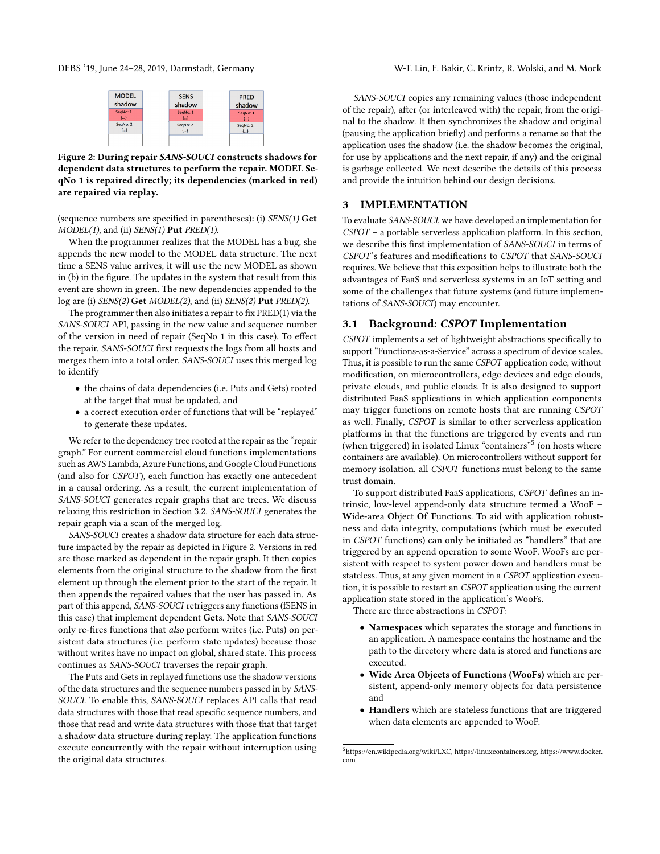<span id="page-3-1"></span>

Figure 2: During repair SANS-SOUCI constructs shadows for dependent data structures to perform the repair. MODEL SeqNo 1 is repaired directly; its dependencies (marked in red) are repaired via replay.

(sequence numbers are specified in parentheses): (i) SENS(1) Get  $MODEL(1)$ , and (ii)  $SENS(1)$  Put  $PRED(1)$ .

When the programmer realizes that the MODEL has a bug, she appends the new model to the MODEL data structure. The next time a SENS value arrives, it will use the new MODEL as shown in (b) in the figure. The updates in the system that result from this event are shown in green. The new dependencies appended to the log are (i) SENS(2) Get MODEL(2), and (ii) SENS(2) Put PRED(2).

The programmer then also initiates a repair to fix PRED(1) via the SANS-SOUCI API, passing in the new value and sequence number of the version in need of repair (SeqNo 1 in this case). To effect the repair, SANS-SOUCI first requests the logs from all hosts and merges them into a total order. SANS-SOUCI uses this merged log to identify

- the chains of data dependencies (i.e. Puts and Gets) rooted at the target that must be updated, and
- a correct execution order of functions that will be "replayed" to generate these updates.

We refer to the dependency tree rooted at the repair as the "repair graph." For current commercial cloud functions implementations such as AWS Lambda, Azure Functions, and Google Cloud Functions (and also for CSPOT), each function has exactly one antecedent in a causal ordering. As a result, the current implementation of SANS-SOUCI generates repair graphs that are trees. We discuss relaxing this restriction in Section [3.2.](#page-6-0) SANS-SOUCI generates the repair graph via a scan of the merged log.

SANS-SOUCI creates a shadow data structure for each data structure impacted by the repair as depicted in Figure [2.](#page-3-1) Versions in red are those marked as dependent in the repair graph. It then copies elements from the original structure to the shadow from the first element up through the element prior to the start of the repair. It then appends the repaired values that the user has passed in. As part of this append, SANS-SOUCI retriggers any functions (fSENS in this case) that implement dependent Gets. Note that SANS-SOUCI only re-fires functions that also perform writes (i.e. Puts) on persistent data structures (i.e. perform state updates) because those without writes have no impact on global, shared state. This process continues as SANS-SOUCI traverses the repair graph.

The Puts and Gets in replayed functions use the shadow versions of the data structures and the sequence numbers passed in by SANS-SOUCI. To enable this, SANS-SOUCI replaces API calls that read data structures with those that read specific sequence numbers, and those that read and write data structures with those that that target a shadow data structure during replay. The application functions execute concurrently with the repair without interruption using the original data structures.

SANS-SOUCI copies any remaining values (those independent of the repair), after (or interleaved with) the repair, from the original to the shadow. It then synchronizes the shadow and original (pausing the application briefly) and performs a rename so that the application uses the shadow (i.e. the shadow becomes the original, for use by applications and the next repair, if any) and the original is garbage collected. We next describe the details of this process and provide the intuition behind our design decisions.

## <span id="page-3-0"></span>3 IMPLEMENTATION

To evaluate SANS-SOUCI, we have developed an implementation for CSPOT – a portable serverless application platform. In this section, we describe this first implementation of SANS-SOUCI in terms of CSPOT's features and modifications to CSPOT that SANS-SOUCI requires. We believe that this exposition helps to illustrate both the advantages of FaaS and serverless systems in an IoT setting and some of the challenges that future systems (and future implementations of SANS-SOUCI) may encounter.

#### 3.1 Background: CSPOT Implementation

CSPOT implements a set of lightweight abstractions specifically to support "Functions-as-a-Service" across a spectrum of device scales. Thus, it is possible to run the same CSPOT application code, without modification, on microcontrollers, edge devices and edge clouds, private clouds, and public clouds. It is also designed to support distributed FaaS applications in which application components may trigger functions on remote hosts that are running CSPOT as well. Finally, CSPOT is similar to other serverless application platforms in that the functions are triggered by events and run (when triggered) in isolated Linux "containers"<sup>[5](#page-3-2)</sup> (on hosts where containers are available). On microcontrollers without support for memory isolation, all CSPOT functions must belong to the same trust domain.

To support distributed FaaS applications, CSPOT defines an intrinsic, low-level append-only data structure termed a WooF – Wide-area Object Of Functions. To aid with application robustness and data integrity, computations (which must be executed in CSPOT functions) can only be initiated as "handlers" that are triggered by an append operation to some WooF. WooFs are persistent with respect to system power down and handlers must be stateless. Thus, at any given moment in a CSPOT application execution, it is possible to restart an CSPOT application using the current application state stored in the application's WooFs.

There are three abstractions in CSPOT:

- Namespaces which separates the storage and functions in an application. A namespace contains the hostname and the path to the directory where data is stored and functions are executed.
- Wide Area Objects of Functions (WooFs) which are persistent, append-only memory objects for data persistence and
- Handlers which are stateless functions that are triggered when data elements are appended to WooF.

<span id="page-3-2"></span><sup>5</sup>[https://en.wikipedia.org/wiki/LXC,](https://en.wikipedia.org/wiki/LXC) [https://linuxcontainers.org,](https://linuxcontainers.org) [https://www.docker.](https://www.docker.com) [com](https://www.docker.com)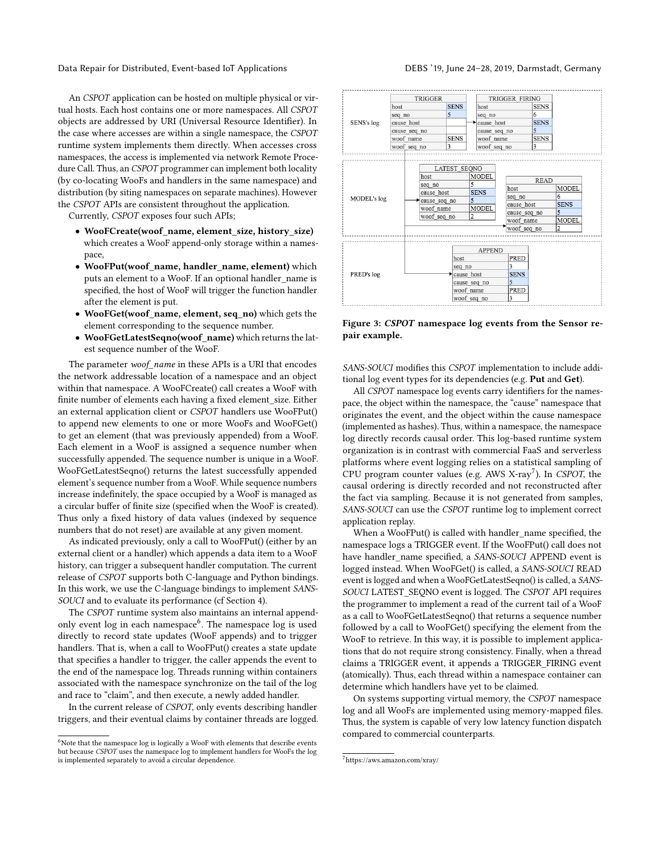An CSPOT application can be hosted on multiple physical or virtual hosts. Each host contains one or more namespaces. All CSPOT objects are addressed by URI (Universal Resource Identifier). In the case where accesses are within a single namespace, the CSPOT runtime system implements them directly. When accesses cross namespaces, the access is implemented via network Remote Procedure Call. Thus, an CSPOT programmer can implement both locality (by co-locating WooFs and handlers in the same namespace) and distribution (by siting namespaces on separate machines). However the CSPOT APIs are consistent throughout the application.

Currently, CSPOT exposes four such APIs;

- WooFCreate(woof\_name, element\_size, history\_size) which creates a WooF append-only storage within a namespace,
- WooFPut(woof\_name, handler\_name, element) which puts an element to a WooF. If an optional handler\_name is specified, the host of WooF will trigger the function handler after the element is put.
- WooFGet(woof\_name, element, seq\_no) which gets the element corresponding to the sequence number.
- WooFGetLatestSeqno(woof\_name) which returns the latest sequence number of the WooF.

The parameter woof name in these APIs is a URI that encodes the network addressable location of a namespace and an object within that namespace. A WooFCreate() call creates a WooF with finite number of elements each having a fixed element\_size. Either an external application client or CSPOT handlers use WooFPut() to append new elements to one or more WooFs and WooFGet() to get an element (that was previously appended) from a WooF. Each element in a WooF is assigned a sequence number when successfully appended. The sequence number is unique in a WooF. WooFGetLatestSeqno() returns the latest successfully appended element's sequence number from a WooF. While sequence numbers increase indefinitely, the space occupied by a WooF is managed as a circular buffer of finite size (specified when the WooF is created). Thus only a fixed history of data values (indexed by sequence numbers that do not reset) are available at any given moment.

As indicated previously, only a call to WooFPut() (either by an external client or a handler) which appends a data item to a WooF history, can trigger a subsequent handler computation. The current release of CSPOT supports both C-language and Python bindings. In this work, we use the C-language bindings to implement SANS-SOUCI and to evaluate its performance (cf Section [4\)](#page-7-0).

The CSPOT runtime system also maintains an internal append-only event log in each namespace<sup>[6](#page-4-0)</sup>. The namespace log is used directly to record state updates (WooF appends) and to trigger handlers. That is, when a call to WooFPut() creates a state update that specifies a handler to trigger, the caller appends the event to the end of the namespace log. Threads running within containers associated with the namespace synchronize on the tail of the log and race to "claim", and then execute, a newly added handler.

In the current release of CSPOT, only events describing handler triggers, and their eventual claims by container threads are logged.

<span id="page-4-2"></span>

Figure 3: CSPOT namespace log events from the Sensor repair example.

SANS-SOUCI modifies this CSPOT implementation to include additional log event types for its dependencies (e.g. Put and Get).

All CSPOT namespace log events carry identifiers for the namespace, the object within the namespace, the "cause" namespace that originates the event, and the object within the cause namespace (implemented as hashes). Thus, within a namespace, the namespace log directly records causal order. This log-based runtime system organization is in contrast with commercial FaaS and serverless platforms where event logging relies on a statistical sampling of CPU program counter values (e.g. AWS X-ray<sup>[7](#page-4-1)</sup>). In CSPOT, the causal ordering is directly recorded and not reconstructed after the fact via sampling. Because it is not generated from samples, SANS-SOUCI can use the CSPOT runtime log to implement correct application replay.

When a WooFPut() is called with handler\_name specified, the namespace logs a TRIGGER event. If the WooFPut() call does not have handler\_name specified, a SANS-SOUCI APPEND event is logged instead. When WooFGet() is called, a SANS-SOUCI READ event is logged and when a WooFGetLatestSeqno() is called, a SANS-SOUCI LATEST\_SEQNO event is logged. The CSPOT API requires the programmer to implement a read of the current tail of a WooF as a call to WooFGetLatestSeqno() that returns a sequence number followed by a call to WooFGet() specifying the element from the WooF to retrieve. In this way, it is possible to implement applications that do not require strong consistency. Finally, when a thread claims a TRIGGER event, it appends a TRIGGER\_FIRING event (atomically). Thus, each thread within a namespace container can determine which handlers have yet to be claimed.

On systems supporting virtual memory, the CSPOT namespace log and all WooFs are implemented using memory-mapped files. Thus, the system is capable of very low latency function dispatch compared to commercial counterparts.

<span id="page-4-0"></span><sup>&</sup>lt;sup>6</sup>Note that the namespace log is logically a WooF with elements that describe events but because CSPOT uses the namespace log to implement handlers for WooFs the log is implemented separately to avoid a circular dependence.

<span id="page-4-1"></span><sup>7</sup><https://aws.amazon.com/xray/>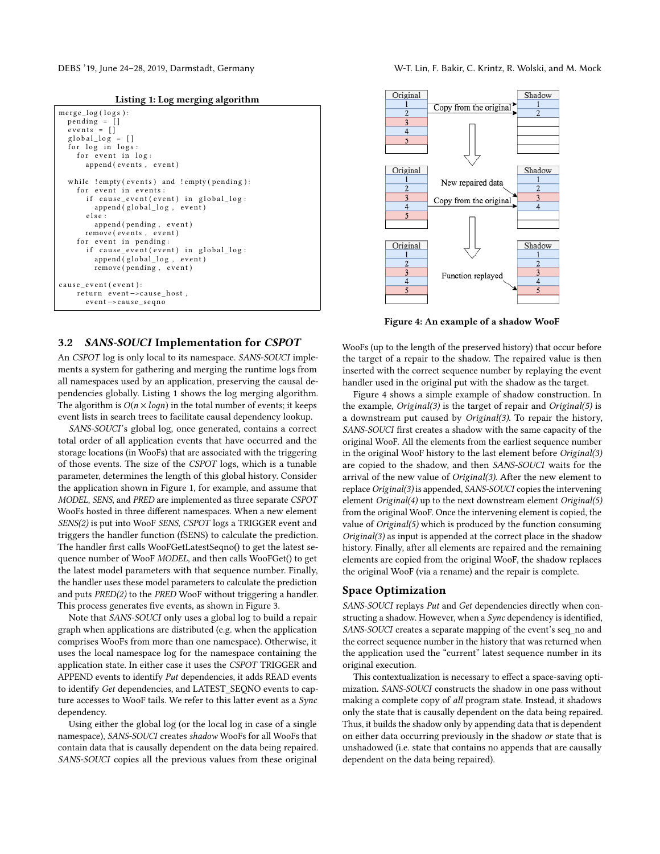Listing 1: Log merging algorithm

```
merge_log (logs):
 pending =events = []g \, \text{lobal}\_ \, \text{log} = []
  for log in logs:
    for event in log:
      append ( events, event)
  while ! empty ( events ) and ! empty ( pending ) :
    for event in events:
      if cause_event(event) in global_log:
        append (global_log, event)
      e l s e :
        append (pending, event)
      remove ( events, event)
    for event in pending:
      if cause_event(event) in global_log:
        append ( global_log, event)
        remove (pending, event)
cause_event (event):
    r et urn event -> cause_host,
      event -> cause_seqno
```
# <span id="page-5-2"></span>3.2 SANS-SOUCI Implementation for CSPOT

An CSPOT log is only local to its namespace. SANS-SOUCI implements a system for gathering and merging the runtime logs from all namespaces used by an application, preserving the causal dependencies globally. Listing [1](#page-5-0) shows the log merging algorithm. The algorithm is  $O(n \times log n)$  in the total number of events; it keeps event lists in search trees to facilitate causal dependency lookup.

SANS-SOUCI's global log, once generated, contains a correct total order of all application events that have occurred and the storage locations (in WooFs) that are associated with the triggering of those events. The size of the CSPOT logs, which is a tunable parameter, determines the length of this global history. Consider the application shown in Figure [1,](#page-2-1) for example, and assume that MODEL, SENS, and PRED are implemented as three separate CSPOT WooFs hosted in three different namespaces. When a new element SENS(2) is put into WooF SENS, CSPOT logs a TRIGGER event and triggers the handler function (fSENS) to calculate the prediction. The handler first calls WooFGetLatestSeqno() to get the latest sequence number of WooF MODEL, and then calls WooFGet() to get the latest model parameters with that sequence number. Finally, the handler uses these model parameters to calculate the prediction and puts PRED(2) to the PRED WooF without triggering a handler. This process generates five events, as shown in Figure [3.](#page-4-2)

Note that SANS-SOUCI only uses a global log to build a repair graph when applications are distributed (e.g. when the application comprises WooFs from more than one namespace). Otherwise, it uses the local namespace log for the namespace containing the application state. In either case it uses the CSPOT TRIGGER and APPEND events to identify Put dependencies, it adds READ events to identify Get dependencies, and LATEST\_SEQNO events to capture accesses to WooF tails. We refer to this latter event as a Sync dependency.

Using either the global log (or the local log in case of a single namespace), SANS-SOUCI creates shadow WooFs for all WooFs that contain data that is causally dependent on the data being repaired. SANS-SOUCI copies all the previous values from these original

<span id="page-5-1"></span>

Figure 4: An example of a shadow WooF

WooFs (up to the length of the preserved history) that occur before the target of a repair to the shadow. The repaired value is then inserted with the correct sequence number by replaying the event handler used in the original put with the shadow as the target.

Figure [4](#page-5-1) shows a simple example of shadow construction. In the example, Original(3) is the target of repair and Original(5) is a downstream put caused by Original(3). To repair the history, SANS-SOUCI first creates a shadow with the same capacity of the original WooF. All the elements from the earliest sequence number in the original WooF history to the last element before Original(3) are copied to the shadow, and then SANS-SOUCI waits for the arrival of the new value of Original(3). After the new element to replace Original(3) is appended, SANS-SOUCI copies the intervening element Original(4) up to the next downstream element Original(5) from the original WooF. Once the intervening element is copied, the value of Original(5) which is produced by the function consuming Original(3) as input is appended at the correct place in the shadow history. Finally, after all elements are repaired and the remaining elements are copied from the original WooF, the shadow replaces the original WooF (via a rename) and the repair is complete.

#### Space Optimization

SANS-SOUCI replays Put and Get dependencies directly when constructing a shadow. However, when a Sync dependency is identified, SANS-SOUCI creates a separate mapping of the event's seq\_no and the correct sequence number in the history that was returned when the application used the "current" latest sequence number in its original execution.

This contextualization is necessary to effect a space-saving optimization. SANS-SOUCI constructs the shadow in one pass without making a complete copy of all program state. Instead, it shadows only the state that is causally dependent on the data being repaired. Thus, it builds the shadow only by appending data that is dependent on either data occurring previously in the shadow or state that is unshadowed (i.e. state that contains no appends that are causally dependent on the data being repaired).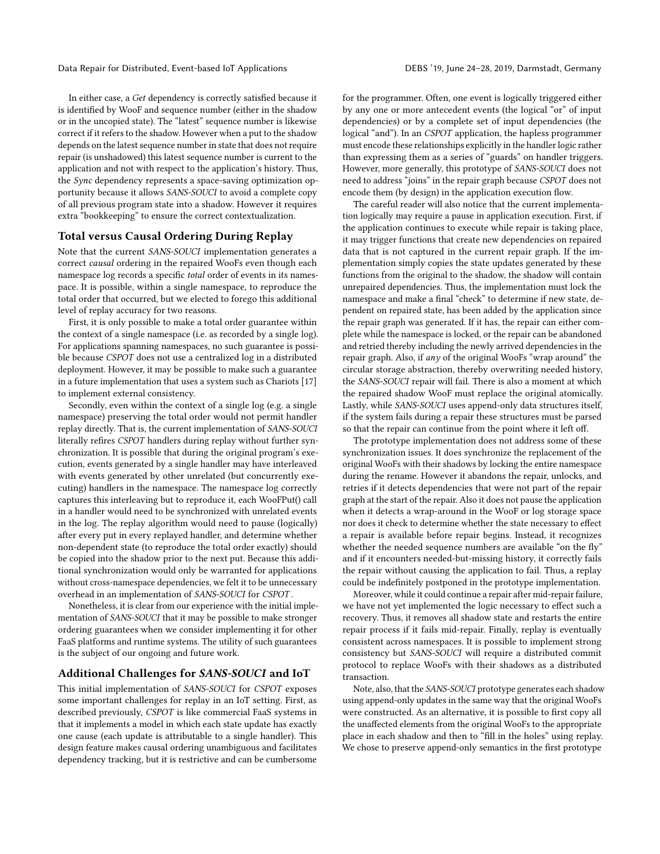In either case, a Get dependency is correctly satisfied because it is identified by WooF and sequence number (either in the shadow or in the uncopied state). The "latest" sequence number is likewise correct if it refers to the shadow. However when a put to the shadow depends on the latest sequence number in state that does not require repair (is unshadowed) this latest sequence number is current to the application and not with respect to the application's history. Thus, the Sync dependency represents a space-saving optimization opportunity because it allows SANS-SOUCI to avoid a complete copy of all previous program state into a shadow. However it requires extra "bookkeeping" to ensure the correct contextualization.

# Total versus Causal Ordering During Replay

Note that the current SANS-SOUCI implementation generates a correct causal ordering in the repaired WooFs even though each namespace log records a specific total order of events in its namespace. It is possible, within a single namespace, to reproduce the total order that occurred, but we elected to forego this additional level of replay accuracy for two reasons.

First, it is only possible to make a total order guarantee within the context of a single namespace (i.e. as recorded by a single log). For applications spanning namespaces, no such guarantee is possible because CSPOT does not use a centralized log in a distributed deployment. However, it may be possible to make such a guarantee in a future implementation that uses a system such as Chariots [\[17\]](#page-11-12) to implement external consistency.

Secondly, even within the context of a single log (e.g. a single namespace) preserving the total order would not permit handler replay directly. That is, the current implementation of SANS-SOUCI literally refires CSPOT handlers during replay without further synchronization. It is possible that during the original program's execution, events generated by a single handler may have interleaved with events generated by other unrelated (but concurrently executing) handlers in the namespace. The namespace log correctly captures this interleaving but to reproduce it, each WooFPut() call in a handler would need to be synchronized with unrelated events in the log. The replay algorithm would need to pause (logically) after every put in every replayed handler, and determine whether non-dependent state (to reproduce the total order exactly) should be copied into the shadow prior to the next put. Because this additional synchronization would only be warranted for applications without cross-namespace dependencies, we felt it to be unnecessary overhead in an implementation of SANS-SOUCI for CSPOT .

Nonetheless, it is clear from our experience with the initial implementation of SANS-SOUCI that it may be possible to make stronger ordering guarantees when we consider implementing it for other FaaS platforms and runtime systems. The utility of such guarantees is the subject of our ongoing and future work.

# <span id="page-6-0"></span>Additional Challenges for SANS-SOUCI and IoT

This initial implementation of SANS-SOUCI for CSPOT exposes some important challenges for replay in an IoT setting. First, as described previously, CSPOT is like commercial FaaS systems in that it implements a model in which each state update has exactly one cause (each update is attributable to a single handler). This design feature makes causal ordering unambiguous and facilitates dependency tracking, but it is restrictive and can be cumbersome for the programmer. Often, one event is logically triggered either by any one or more antecedent events (the logical "or" of input dependencies) or by a complete set of input dependencies (the logical "and"). In an CSPOT application, the hapless programmer must encode these relationships explicitly in the handler logic rather than expressing them as a series of "guards" on handler triggers. However, more generally, this prototype of SANS-SOUCI does not need to address "joins" in the repair graph because CSPOT does not encode them (by design) in the application execution flow.

The careful reader will also notice that the current implementation logically may require a pause in application execution. First, if the application continues to execute while repair is taking place, it may trigger functions that create new dependencies on repaired data that is not captured in the current repair graph. If the implementation simply copies the state updates generated by these functions from the original to the shadow, the shadow will contain unrepaired dependencies. Thus, the implementation must lock the namespace and make a final "check" to determine if new state, dependent on repaired state, has been added by the application since the repair graph was generated. If it has, the repair can either complete while the namespace is locked, or the repair can be abandoned and retried thereby including the newly arrived dependencies in the repair graph. Also, if any of the original WooFs "wrap around" the circular storage abstraction, thereby overwriting needed history, the SANS-SOUCI repair will fail. There is also a moment at which the repaired shadow WooF must replace the original atomically. Lastly, while SANS-SOUCI uses append-only data structures itself, if the system fails during a repair these structures must be parsed so that the repair can continue from the point where it left off.

The prototype implementation does not address some of these synchronization issues. It does synchronize the replacement of the original WooFs with their shadows by locking the entire namespace during the rename. However it abandons the repair, unlocks, and retries if it detects dependencies that were not part of the repair graph at the start of the repair. Also it does not pause the application when it detects a wrap-around in the WooF or log storage space nor does it check to determine whether the state necessary to effect a repair is available before repair begins. Instead, it recognizes whether the needed sequence numbers are available "on the fly" and if it encounters needed-but-missing history, it correctly fails the repair without causing the application to fail. Thus, a replay could be indefinitely postponed in the prototype implementation.

Moreover, while it could continue a repair after mid-repair failure, we have not yet implemented the logic necessary to effect such a recovery. Thus, it removes all shadow state and restarts the entire repair process if it fails mid-repair. Finally, replay is eventually consistent across namespaces. It is possible to implement strong consistency but SANS-SOUCI will require a distributed commit protocol to replace WooFs with their shadows as a distributed transaction.

Note, also, that the SANS-SOUCI prototype generates each shadow using append-only updates in the same way that the original WooFs were constructed. As an alternative, it is possible to first copy all the unaffected elements from the original WooFs to the appropriate place in each shadow and then to "fill in the holes" using replay. We chose to preserve append-only semantics in the first prototype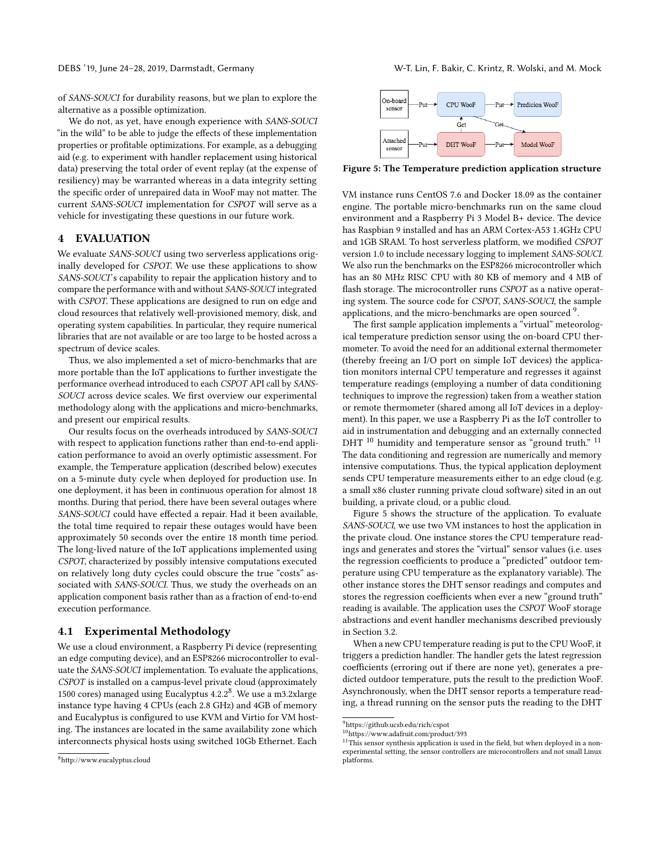of SANS-SOUCI for durability reasons, but we plan to explore the alternative as a possible optimization.

We do not, as yet, have enough experience with SANS-SOUCI "in the wild" to be able to judge the effects of these implementation properties or profitable optimizations. For example, as a debugging aid (e.g. to experiment with handler replacement using historical data) preserving the total order of event replay (at the expense of resiliency) may be warranted whereas in a data integrity setting the specific order of unrepaired data in WooF may not matter. The current SANS-SOUCI implementation for CSPOT will serve as a vehicle for investigating these questions in our future work.

### <span id="page-7-0"></span>**EVALUATION**

We evaluate SANS-SOUCI using two serverless applications originally developed for CSPOT. We use these applications to show SANS-SOUCI's capability to repair the application history and to compare the performance with and without SANS-SOUCI integrated with CSPOT. These applications are designed to run on edge and cloud resources that relatively well-provisioned memory, disk, and operating system capabilities. In particular, they require numerical libraries that are not available or are too large to be hosted across a spectrum of device scales.

Thus, we also implemented a set of micro-benchmarks that are more portable than the IoT applications to further investigate the performance overhead introduced to each CSPOT API call by SANS-SOUCI across device scales. We first overview our experimental methodology along with the applications and micro-benchmarks, and present our empirical results.

Our results focus on the overheads introduced by SANS-SOUCI with respect to application functions rather than end-to-end application performance to avoid an overly optimistic assessment. For example, the Temperature application (described below) executes on a 5-minute duty cycle when deployed for production use. In one deployment, it has been in continuous operation for almost 18 months. During that period, there have been several outages where SANS-SOUCI could have effected a repair. Had it been available, the total time required to repair these outages would have been approximately 50 seconds over the entire 18 month time period. The long-lived nature of the IoT applications implemented using CSPOT, characterized by possibly intensive computations executed on relatively long duty cycles could obscure the true "costs" associated with SANS-SOUCI. Thus, we study the overheads on an application component basis rather than as a fraction of end-to-end execution performance.

#### 4.1 Experimental Methodology

We use a cloud environment, a Raspberry Pi device (representing an edge computing device), and an ESP8266 microcontroller to evaluate the SANS-SOUCI implementation. To evaluate the applications, CSPOT is installed on a campus-level private cloud (approximately 1500 cores) managed using Eucalyptus 4.2.2<sup>[8](#page-7-1)</sup>. We use a m3.2xlarge instance type having 4 CPUs (each 2.8 GHz) and 4GB of memory and Eucalyptus is configured to use KVM and Virtio for VM hosting. The instances are located in the same availability zone which interconnects physical hosts using switched 10Gb Ethernet. Each

<span id="page-7-5"></span>

Figure 5: The Temperature prediction application structure

VM instance runs CentOS 7.6 and Docker 18.09 as the container engine. The portable micro-benchmarks run on the same cloud environment and a Raspberry Pi 3 Model B+ device. The device has Raspbian 9 installed and has an ARM Cortex-A53 1.4GHz CPU and 1GB SRAM. To host serverless platform, we modified CSPOT version 1.0 to include necessary logging to implement SANS-SOUCI. We also run the benchmarks on the ESP8266 microcontroller which has an 80 MHz RISC CPU with 80 KB of memory and 4 MB of flash storage. The microcontroller runs CSPOT as a native operating system. The source code for CSPOT, SANS-SOUCI, the sample applications, and the micro-benchmarks are open sourced <sup>[9](#page-7-2)</sup>.

The first sample application implements a "virtual" meteorological temperature prediction sensor using the on-board CPU thermometer. To avoid the need for an additional external thermometer (thereby freeing an I/O port on simple IoT devices) the application monitors internal CPU temperature and regresses it against temperature readings (employing a number of data conditioning techniques to improve the regression) taken from a weather station or remote thermometer (shared among all IoT devices in a deployment). In this paper, we use a Raspberry Pi as the IoT controller to aid in instrumentation and debugging and an externally connected DHT<sup>[10](#page-7-3)</sup> humidity and temperature sensor as "ground truth."<sup>[11](#page-7-4)</sup> The data conditioning and regression are numerically and memory intensive computations. Thus, the typical application deployment sends CPU temperature measurements either to an edge cloud (e.g. a small x86 cluster running private cloud software) sited in an out building, a private cloud, or a public cloud.

Figure [5](#page-7-5) shows the structure of the application. To evaluate SANS-SOUCI, we use two VM instances to host the application in the private cloud. One instance stores the CPU temperature readings and generates and stores the "virtual" sensor values (i.e. uses the regression coefficients to produce a "predicted" outdoor temperature using CPU temperature as the explanatory variable). The other instance stores the DHT sensor readings and computes and stores the regression coefficients when ever a new "ground truth" reading is available. The application uses the CSPOT WooF storage abstractions and event handler mechanisms described previously in Section [3.2.](#page-5-2)

When a new CPU temperature reading is put to the CPU WooF, it triggers a prediction handler. The handler gets the latest regression coefficients (erroring out if there are none yet), generates a predicted outdoor temperature, puts the result to the prediction WooF. Asynchronously, when the DHT sensor reports a temperature reading, a thread running on the sensor puts the reading to the DHT

<span id="page-7-1"></span><sup>8</sup><http://www.eucalyptus.cloud>

<span id="page-7-2"></span><sup>9</sup><https://github.ucsb.edu/rich/cspot>

<span id="page-7-3"></span><sup>10</sup>https://www.adafruit.com/product/393

<span id="page-7-4"></span> $11$ This sensor synthesis application is used in the field, but when deployed in a nonexperimental setting, the sensor controllers are microcontrollers and not small Linux platforms.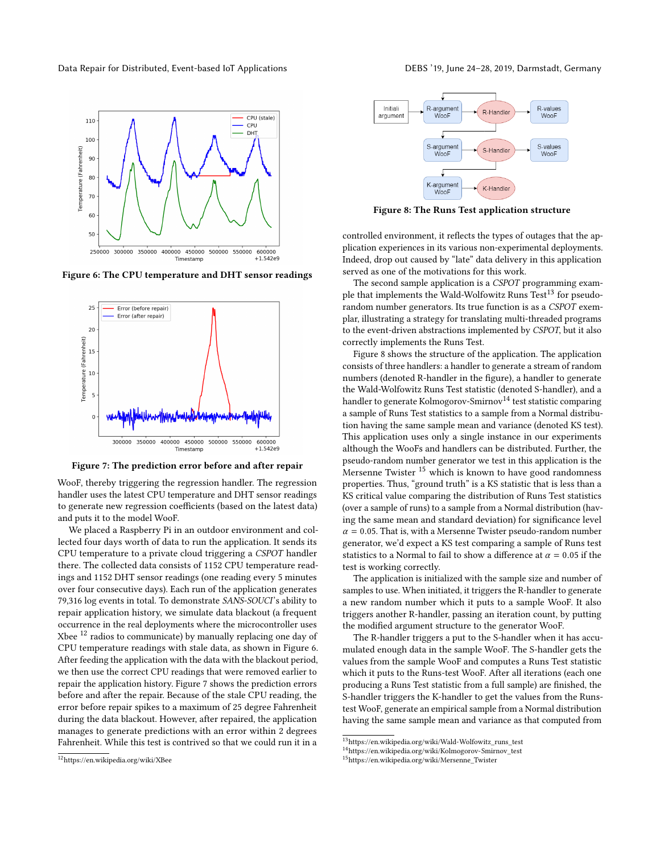<span id="page-8-1"></span>

<span id="page-8-2"></span>Figure 6: The CPU temperature and DHT sensor readings



Figure 7: The prediction error before and after repair

WooF, thereby triggering the regression handler. The regression handler uses the latest CPU temperature and DHT sensor readings to generate new regression coefficients (based on the latest data) and puts it to the model WooF.

We placed a Raspberry Pi in an outdoor environment and collected four days worth of data to run the application. It sends its CPU temperature to a private cloud triggering a CSPOT handler there. The collected data consists of 1152 CPU temperature readings and 1152 DHT sensor readings (one reading every 5 minutes over four consecutive days). Each run of the application generates 79,316 log events in total. To demonstrate SANS-SOUCI's ability to repair application history, we simulate data blackout (a frequent occurrence in the real deployments where the microcontroller uses Xbee [12](#page-8-0) radios to communicate) by manually replacing one day of CPU temperature readings with stale data, as shown in Figure [6.](#page-8-1) After feeding the application with the data with the blackout period, we then use the correct CPU readings that were removed earlier to repair the application history. Figure [7](#page-8-2) shows the prediction errors before and after the repair. Because of the stale CPU reading, the error before repair spikes to a maximum of 25 degree Fahrenheit during the data blackout. However, after repaired, the application manages to generate predictions with an error within 2 degrees Fahrenheit. While this test is contrived so that we could run it in a

<span id="page-8-4"></span>

Figure 8: The Runs Test application structure

controlled environment, it reflects the types of outages that the application experiences in its various non-experimental deployments. Indeed, drop out caused by "late" data delivery in this application served as one of the motivations for this work.

The second sample application is a CSPOT programming exam-ple that implements the Wald-Wolfowitz Runs Test<sup>[13](#page-8-3)</sup> for pseudorandom number generators. Its true function is as a CSPOT exemplar, illustrating a strategy for translating multi-threaded programs to the event-driven abstractions implemented by CSPOT, but it also correctly implements the Runs Test.

Figure [8](#page-8-4) shows the structure of the application. The application consists of three handlers: a handler to generate a stream of random numbers (denoted R-handler in the figure), a handler to generate the Wald-Wolfowitz Runs Test statistic (denoted S-handler), and a handler to generate Kolmogorov-Smirnov<sup>[14](#page-8-5)</sup> test statistic comparing a sample of Runs Test statistics to a sample from a Normal distribution having the same sample mean and variance (denoted KS test). This application uses only a single instance in our experiments although the WooFs and handlers can be distributed. Further, the pseudo-random number generator we test in this application is the Mersenne Twister  $^{15}$  $^{15}$  $^{15}$  which is known to have good randomness properties. Thus, "ground truth" is a KS statistic that is less than a KS critical value comparing the distribution of Runs Test statistics (over a sample of runs) to a sample from a Normal distribution (having the same mean and standard deviation) for significance level  $\alpha$  = 0.05. That is, with a Mersenne Twister pseudo-random number generator, we'd expect a KS test comparing a sample of Runs test statistics to a Normal to fail to show a difference at  $\alpha = 0.05$  if the test is working correctly.

The application is initialized with the sample size and number of samples to use. When initiated, it triggers the R-handler to generate a new random number which it puts to a sample WooF. It also triggers another R-handler, passing an iteration count, by putting the modified argument structure to the generator WooF.

The R-handler triggers a put to the S-handler when it has accumulated enough data in the sample WooF. The S-handler gets the values from the sample WooF and computes a Runs Test statistic which it puts to the Runs-test WooF. After all iterations (each one producing a Runs Test statistic from a full sample) are finished, the S-handler triggers the K-handler to get the values from the Runstest WooF, generate an empirical sample from a Normal distribution having the same sample mean and variance as that computed from

<span id="page-8-0"></span><sup>12</sup>https://en.wikipedia.org/wiki/XBee

<span id="page-8-3"></span> $\overline{^{13}{\rm \bf https://en.wikipedia.org/wiki/Wald-Wolfowitz\_runs\_test}}$ 

<span id="page-8-5"></span> $^{14}{\rm https://en.wikipedia.org/wiki/Kolmogorov-Smirnov_test}$  $^{14}{\rm https://en.wikipedia.org/wiki/Kolmogorov-Smirnov_test}$  $^{14}{\rm https://en.wikipedia.org/wiki/Kolmogorov-Smirnov_test}$ 

<span id="page-8-6"></span><sup>15</sup>https://en.wikipedia.org/wiki/Mersenne\_Twister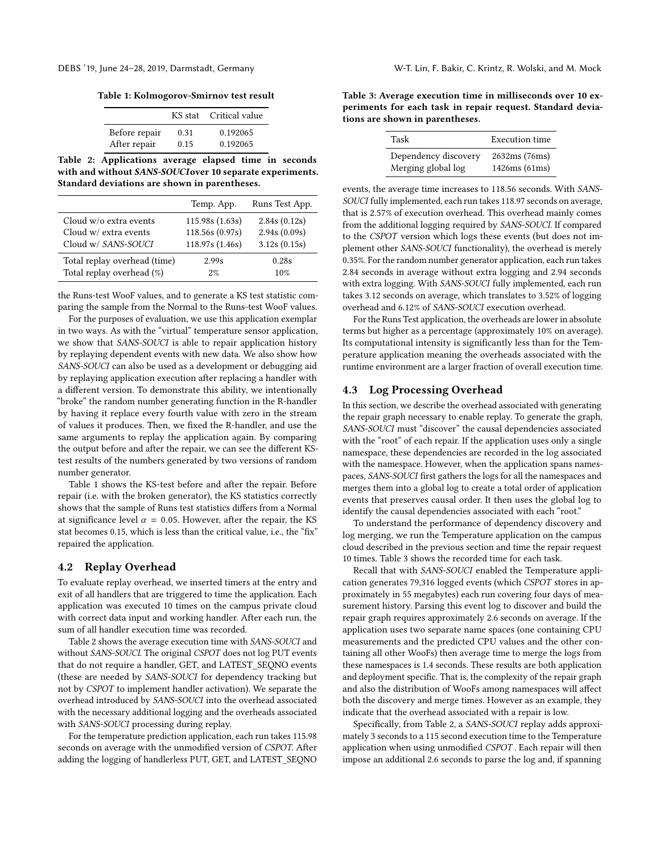<span id="page-9-0"></span>

|               |      | KS stat Critical value |
|---------------|------|------------------------|
| Before repair | 0.31 | 0.192065               |
| After repair  | 0.15 | 0.192065               |

<span id="page-9-1"></span>Table 2: Applications average elapsed time in seconds with and without SANS-SOUCIover 10 separate experiments. Standard deviations are shown in parentheses.

|                              | Temp. App.      | Runs Test App. |
|------------------------------|-----------------|----------------|
| Cloud $w/o$ extra events     | 115.98s(1.63s)  | 2.84s(0.12s)   |
| Cloud $w$ extra events       | 118.56s (0.97s) | 2.94s(0.09s)   |
| Cloud w/ SANS-SOUCI          | 118.97s (1.46s) | 3.12s(0.15s)   |
| Total replay overhead (time) | 2.99s           | 0.28s          |
| Total replay overhead (%)    | $2\%$           | 10%            |

the Runs-test WooF values, and to generate a KS test statistic comparing the sample from the Normal to the Runs-test WooF values.

For the purposes of evaluation, we use this application exemplar in two ways. As with the "virtual" temperature sensor application, we show that SANS-SOUCI is able to repair application history by replaying dependent events with new data. We also show how SANS-SOUCI can also be used as a development or debugging aid by replaying application execution after replacing a handler with a different version. To demonstrate this ability, we intentionally "broke" the random number generating function in the R-handler by having it replace every fourth value with zero in the stream of values it produces. Then, we fixed the R-handler, and use the same arguments to replay the application again. By comparing the output before and after the repair, we can see the different KStest results of the numbers generated by two versions of random number generator.

Table [1](#page-9-0) shows the KS-test before and after the repair. Before repair (i.e. with the broken generator), the KS statistics correctly shows that the sample of Runs test statistics differs from a Normal at significance level  $\alpha = 0.05$ . However, after the repair, the KS stat becomes 0.15, which is less than the critical value, i.e., the "fix" repaired the application.

### 4.2 Replay Overhead

To evaluate replay overhead, we inserted timers at the entry and exit of all handlers that are triggered to time the application. Each application was executed 10 times on the campus private cloud with correct data input and working handler. After each run, the sum of all handler execution time was recorded.

Table [2](#page-9-1) shows the average execution time with SANS-SOUCI and without SANS-SOUCI. The original CSPOT does not log PUT events that do not require a handler, GET, and LATEST\_SEQNO events (these are needed by SANS-SOUCI for dependency tracking but not by CSPOT to implement handler activation). We separate the overhead introduced by SANS-SOUCI into the overhead associated with the necessary additional logging and the overheads associated with SANS-SOUCI processing during replay.

For the temperature prediction application, each run takes 115.98 seconds on average with the unmodified version of CSPOT. After adding the logging of handlerless PUT, GET, and LATEST\_SEQNO

<span id="page-9-2"></span>Table 3: Average execution time in milliseconds over 10 experiments for each task in repair request. Standard deviations are shown in parentheses.

| Task                 | Execution time |
|----------------------|----------------|
| Dependency discovery | 2632ms (76ms)  |
| Merging global log   | 1426ms(61ms)   |

events, the average time increases to 118.56 seconds. With SANS-SOUCI fully implemented, each run takes 118.97 seconds on average, that is 2.57% of execution overhead. This overhead mainly comes from the additional logging required by SANS-SOUCI. If compared to the CSPOT version which logs these events (but does not implement other SANS-SOUCI functionality), the overhead is merely 0.35%. For the random number generator application, each run takes 2.84 seconds in average without extra logging and 2.94 seconds with extra logging. With SANS-SOUCI fully implemented, each run takes 3.12 seconds on average, which translates to 3.52% of logging overhead and 6.12% of SANS-SOUCI execution overhead.

For the Runs Test application, the overheads are lower in absolute terms but higher as a percentage (approximately 10% on average). Its computational intensity is significantly less than for the Temperature application meaning the overheads associated with the runtime environment are a larger fraction of overall execution time.

#### 4.3 Log Processing Overhead

In this section, we describe the overhead associated with generating the repair graph necessary to enable replay. To generate the graph, SANS-SOUCI must "discover" the causal dependencies associated with the "root" of each repair. If the application uses only a single namespace, these dependencies are recorded in the log associated with the namespace. However, when the application spans namespaces, SANS-SOUCI first gathers the logs for all the namespaces and merges them into a global log to create a total order of application events that preserves causal order. It then uses the global log to identify the causal dependencies associated with each "root."

To understand the performance of dependency discovery and log merging, we run the Temperature application on the campus cloud described in the previous section and time the repair request 10 times. Table [3](#page-9-2) shows the recorded time for each task.

Recall that with SANS-SOUCI enabled the Temperature application generates 79,316 logged events (which CSPOT stores in approximately in 55 megabytes) each run covering four days of measurement history. Parsing this event log to discover and build the repair graph requires approximately 2.6 seconds on average. If the application uses two separate name spaces (one containing CPU measurements and the predicted CPU values and the other containing all other WooFs) then average time to merge the logs from these namespaces is 1.4 seconds. These results are both application and deployment specific. That is, the complexity of the repair graph and also the distribution of WooFs among namespaces will affect both the discovery and merge times. However as an example, they indicate that the overhead associated with a repair is low.

Specifically, from Table [2,](#page-9-1) a SANS-SOUCI replay adds approximately 3 seconds to a 115 second execution time to the Temperature application when using unmodified CSPOT . Each repair will then impose an additional 2.6 seconds to parse the log and, if spanning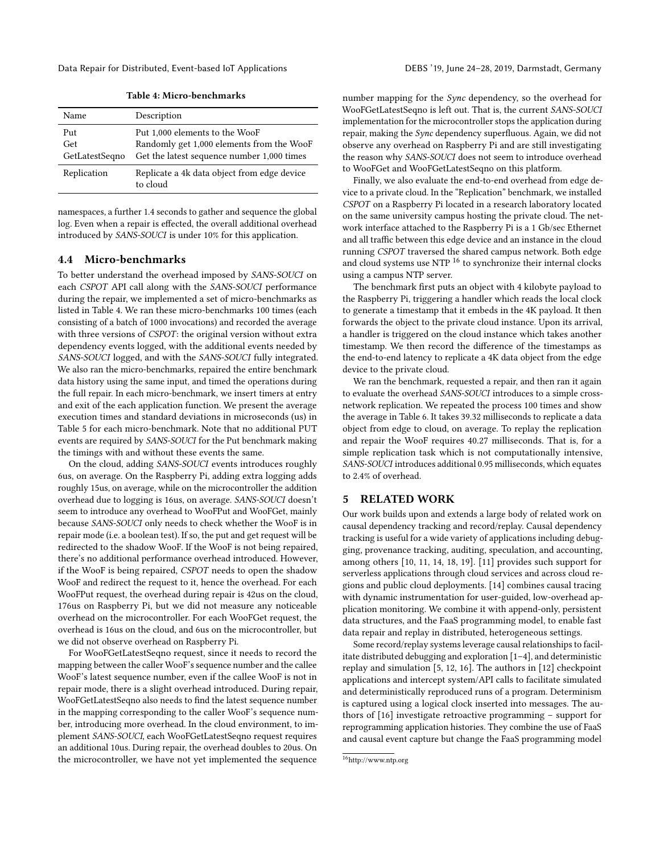<span id="page-10-1"></span>

| Name           | Description                                             |
|----------------|---------------------------------------------------------|
| Put            | Put 1,000 elements to the WooF                          |
| Get            | Randomly get 1,000 elements from the WooF               |
| GetLatestSeqno | Get the latest sequence number 1,000 times              |
| Replication    | Replicate a 4k data object from edge device<br>to cloud |

#### Table 4: Micro-benchmarks

namespaces, a further 1.4 seconds to gather and sequence the global log. Even when a repair is effected, the overall additional overhead introduced by SANS-SOUCI is under 10% for this application.

# 4.4 Micro-benchmarks

To better understand the overhead imposed by SANS-SOUCI on each CSPOT API call along with the SANS-SOUCI performance during the repair, we implemented a set of micro-benchmarks as listed in Table [4.](#page-10-1) We ran these micro-benchmarks 100 times (each consisting of a batch of 1000 invocations) and recorded the average with three versions of CSPOT: the original version without extra dependency events logged, with the additional events needed by SANS-SOUCI logged, and with the SANS-SOUCI fully integrated. We also ran the micro-benchmarks, repaired the entire benchmark data history using the same input, and timed the operations during the full repair. In each micro-benchmark, we insert timers at entry and exit of the each application function. We present the average execution times and standard deviations in microseconds (us) in Table [5](#page-11-13) for each micro-benchmark. Note that no additional PUT events are required by SANS-SOUCI for the Put benchmark making the timings with and without these events the same.

On the cloud, adding SANS-SOUCI events introduces roughly 6us, on average. On the Raspberry Pi, adding extra logging adds roughly 15us, on average, while on the microcontroller the addition overhead due to logging is 16us, on average. SANS-SOUCI doesn't seem to introduce any overhead to WooFPut and WooFGet, mainly because SANS-SOUCI only needs to check whether the WooF is in repair mode (i.e. a boolean test). If so, the put and get request will be redirected to the shadow WooF. If the WooF is not being repaired, there's no additional performance overhead introduced. However, if the WooF is being repaired, CSPOT needs to open the shadow WooF and redirect the request to it, hence the overhead. For each WooFPut request, the overhead during repair is 42us on the cloud, 176us on Raspberry Pi, but we did not measure any noticeable overhead on the microcontroller. For each WooFGet request, the overhead is 16us on the cloud, and 6us on the microcontroller, but we did not observe overhead on Raspberry Pi.

For WooFGetLatestSeqno request, since it needs to record the mapping between the caller WooF's sequence number and the callee WooF's latest sequence number, even if the callee WooF is not in repair mode, there is a slight overhead introduced. During repair, WooFGetLatestSeqno also needs to find the latest sequence number in the mapping corresponding to the caller WooF's sequence number, introducing more overhead. In the cloud environment, to implement SANS-SOUCI, each WooFGetLatestSeqno request requires an additional 10us. During repair, the overhead doubles to 20us. On the microcontroller, we have not yet implemented the sequence

number mapping for the Sync dependency, so the overhead for WooFGetLatestSeqno is left out. That is, the current SANS-SOUCI implementation for the microcontroller stops the application during repair, making the Sync dependency superfluous. Again, we did not observe any overhead on Raspberry Pi and are still investigating the reason why SANS-SOUCI does not seem to introduce overhead to WooFGet and WooFGetLatestSeqno on this platform.

Finally, we also evaluate the end-to-end overhead from edge device to a private cloud. In the "Replication" benchmark, we installed CSPOT on a Raspberry Pi located in a research laboratory located on the same university campus hosting the private cloud. The network interface attached to the Raspberry Pi is a 1 Gb/sec Ethernet and all traffic between this edge device and an instance in the cloud running CSPOT traversed the shared campus network. Both edge and cloud systems use NTP [16](#page-10-2) to synchronize their internal clocks using a campus NTP server.

The benchmark first puts an object with 4 kilobyte payload to the Raspberry Pi, triggering a handler which reads the local clock to generate a timestamp that it embeds in the 4K payload. It then forwards the object to the private cloud instance. Upon its arrival, a handler is triggered on the cloud instance which takes another timestamp. We then record the difference of the timestamps as the end-to-end latency to replicate a 4K data object from the edge device to the private cloud.

We ran the benchmark, requested a repair, and then ran it again to evaluate the overhead SANS-SOUCI introduces to a simple crossnetwork replication. We repeated the process 100 times and show the average in Table [6.](#page-11-14) It takes 39.32 milliseconds to replicate a data object from edge to cloud, on average. To replay the replication and repair the WooF requires 40.27 milliseconds. That is, for a simple replication task which is not computationally intensive, SANS-SOUCI introduces additional 0.95 milliseconds, which equates to 2.4% of overhead.

# <span id="page-10-0"></span>5 RELATED WORK

Our work builds upon and extends a large body of related work on causal dependency tracking and record/replay. Causal dependency tracking is useful for a wide variety of applications including debugging, provenance tracking, auditing, speculation, and accounting, among others [\[10,](#page-11-7) [11,](#page-11-8) [14,](#page-11-15) [18,](#page-11-16) [19\]](#page-11-9). [\[11\]](#page-11-8) provides such support for serverless applications through cloud services and across cloud regions and public cloud deployments. [\[14\]](#page-11-15) combines causal tracing with dynamic instrumentation for user-guided, low-overhead application monitoring. We combine it with append-only, persistent data structures, and the FaaS programming model, to enable fast data repair and replay in distributed, heterogeneous settings.

Some record/replay systems leverage causal relationships to facilitate distributed debugging and exploration [\[1](#page-11-17)[–4\]](#page-11-18), and deterministic replay and simulation [\[5,](#page-11-19) [12,](#page-11-20) [16\]](#page-11-21). The authors in [\[12\]](#page-11-20) checkpoint applications and intercept system/API calls to facilitate simulated and deterministically reproduced runs of a program. Determinism is captured using a logical clock inserted into messages. The authors of [\[16\]](#page-11-21) investigate retroactive programming – support for reprogramming application histories. They combine the use of FaaS and causal event capture but change the FaaS programming model

<span id="page-10-2"></span> $\rm ^{16}$  http://www.ntp.org